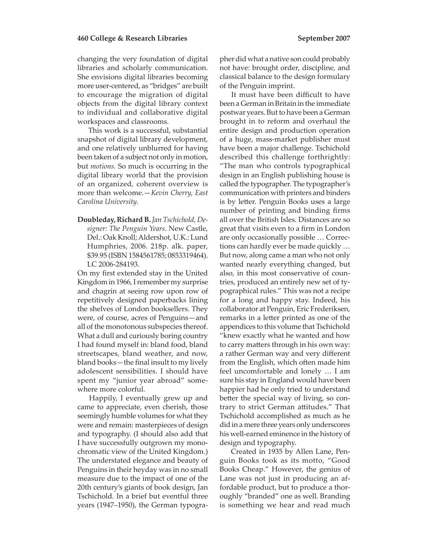changing the very foundation of digital libraries and scholarly communication. She envisions digital libraries becoming more user-centered, as "bridges" are built to encourage the migration of digital objects from the digital library context to individual and collaborative digital workspaces and classrooms.

 This work is a successful, substantial snapshot of digital library development, and one relatively unblurred for having been taken of a subject not only in motion, but *motions.* So much is occurring in the digital library world that the provision of an organized, coherent overview is more than welcome.—*Kevin Cherry, East Carolina University.* 

**Doubleday, Richard B.** *Jan Tschichold, Designer: The Penguin Years*. New Castle, Del.: Oak Knoll; Aldershot, U.K.: Lund Humphries, 2006. 218p. alk. paper, \$39.95 (ISBN 1584561785; 0853319464). LC 2006-284193.

On my first extended stay in the United Kingdom in 1966, I remember my surprise and chagrin at seeing row upon row of repetitively designed paperbacks lining the shelves of London booksellers. They were, of course, acres of Penguins—and all of the monotonous subspecies thereof. What a dull and curiously boring country I had found myself in: bland food, bland streetscapes, bland weather, and now, bland books—the final insult to my lively adolescent sensibilities. I should have spent my "junior year abroad" somewhere more colorful.

 Happily, I eventually grew up and came to appreciate, even cherish, those seemingly humble volumes for what they were and remain: masterpieces of design and typography. (I should also add that I have successfully outgrown my monochromatic view of the United Kingdom.) The understated elegance and beauty of Penguins in their heyday was in no small measure due to the impact of one of the 20th century's giants of book design, Jan Tschichold. In a brief but eventful three years (1947–1950), the German typographer did what a native son could probably not have: brought order, discipline, and classical balance to the design formulary of the Penguin imprint.

It must have been difficult to have been a German in Britain in the immediate postwar years. But to have been a German brought in to reform and overhaul the entire design and production operation of a huge, mass-market publisher must have been a major challenge. Tschichold described this challenge forthrightly: "The man who controls typographical design in an English publishing house is called the typographer. The typographer's communication with printers and binders is by letter. Penguin Books uses a large number of printing and binding firms all over the British Isles. Distances are so great that visits even to a firm in London are only occasionally possible … Corrections can hardly ever be made quickly … But now, along came a man who not only wanted nearly everything changed, but also, in this most conservative of countries, produced an entirely new set of typographical rules." This was not a recipe for a long and happy stay. Indeed, his collaborator at Penguin, Eric Frederiksen, remarks in a letter printed as one of the appendices to this volume that Tschichold "knew exactly what he wanted and how to carry matters through in his own way: a rather German way and very different from the English, which often made him feel uncomfortable and lonely … I am sure his stay in England would have been happier had he only tried to understand better the special way of living, so contrary to strict German attitudes." That Tschichold accomplished as much as he did in a mere three years only underscores his well-earned eminence in the history of design and typography.

 Created in 1935 by Allen Lane, Penguin Books took as its motto, "Good Books Cheap." However, the genius of Lane was not just in producing an affordable product, but to produce a thoroughly "branded" one as well. Branding is something we hear and read much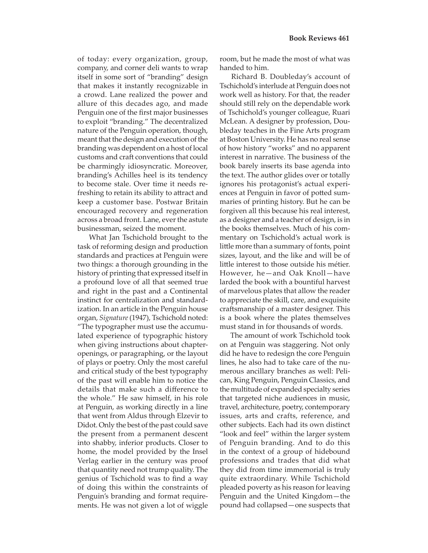of today: every organization, group, company, and corner deli wants to wrap itself in some sort of "branding" design that makes it instantly recognizable in a crowd. Lane realized the power and allure of this decades ago, and made Penguin one of the first major businesses to exploit "branding." The decentralized nature of the Penguin operation, though, meant that the design and execution of the branding was dependent on a host of local customs and craft conventions that could be charmingly idiosyncratic. Moreover, branding's Achilles heel is its tendency to become stale. Over time it needs refreshing to retain its ability to attract and keep a customer base. Postwar Britain encouraged recovery and regeneration across a broad front. Lane, ever the astute businessman, seized the moment.

 What Jan Tschichold brought to the task of reforming design and production standards and practices at Penguin were two things: a thorough grounding in the history of printing that expressed itself in a profound love of all that seemed true and right in the past and a Continental instinct for centralization and standardization. In an article in the Penguin house organ, *Signature* (1947), Tschichold noted: "The typographer must use the accumulated experience of typographic history when giving instructions about chapteropenings, or paragraphing, or the layout of plays or poetry. Only the most careful and critical study of the best typography of the past will enable him to notice the details that make such a difference to the whole." He saw himself, in his role at Penguin, as working directly in a line that went from Aldus through Elzevir to Didot. Only the best of the past could save the present from a permanent descent into shabby, inferior products. Closer to home, the model provided by the Insel Verlag earlier in the century was proof that quantity need not trump quality. The genius of Tschichold was to find a way of doing this within the constraints of Penguin's branding and format requirements. He was not given a lot of wiggle

room, but he made the most of what was handed to him.

 Richard B. Doubleday's account of Tschichold's interlude at Penguin does not work well as history. For that, the reader should still rely on the dependable work of Tschichold's younger colleague, Ruari McLean. A designer by profession, Doubleday teaches in the Fine Arts program at Boston University. He has no real sense of how history "works" and no apparent interest in narrative. The business of the book barely inserts its base agenda into the text. The author glides over or totally ignores his protagonist's actual experiences at Penguin in favor of potted summaries of printing history. But he can be forgiven all this because his real interest, as a designer and a teacher of design, is in the books themselves. Much of his commentary on Tschichold's actual work is little more than a summary of fonts, point sizes, layout, and the like and will be of little interest to those outside his métier. However, he—and Oak Knoll—have larded the book with a bountiful harvest of marvelous plates that allow the reader to appreciate the skill, care, and exquisite craftsmanship of a master designer. This is a book where the plates themselves must stand in for thousands of words.

 The amount of work Tschichold took on at Penguin was staggering. Not only did he have to redesign the core Penguin lines, he also had to take care of the numerous ancillary branches as well: Pelican, King Penguin, Penguin Classics, and the multitude of expanded specialty series that targeted niche audiences in music, travel, architecture, poetry, contemporary issues, arts and crafts, reference, and other subjects. Each had its own distinct "look and feel" within the larger system of Penguin branding. And to do this in the context of a group of hidebound professions and trades that did what they did from time immemorial is truly quite extraordinary. While Tschichold pleaded poverty as his reason for leaving Penguin and the United Kingdom—the pound had collapsed—one suspects that